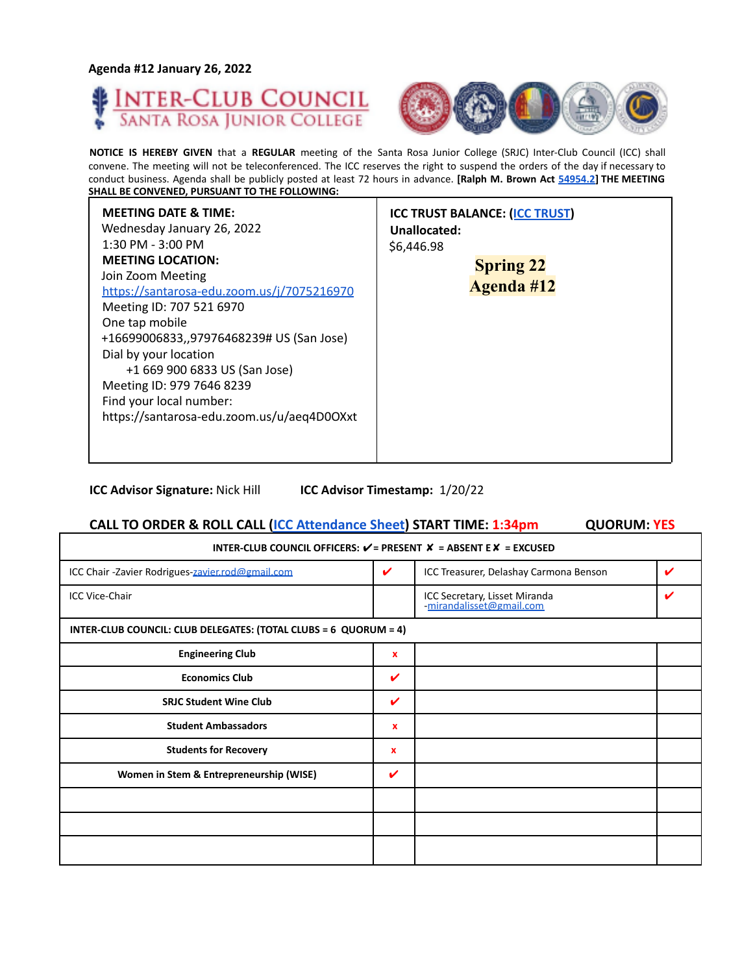**Agenda #12 January 26, 2022**





**NOTICE IS HEREBY GIVEN** that a **REGULAR** meeting of the Santa Rosa Junior College (SRJC) Inter-Club Council (ICC) shall convene. The meeting will not be teleconferenced. The ICC reserves the right to suspend the orders of the day if necessary to conduct business. Agenda shall be publicly posted at least 72 hours in advance. **[Ralph M. Brown Act 54954.2] THE MEETING SHALL BE CONVENED, PURSUANT TO THE FOLLOWING:**

| <b>MEETING DATE &amp; TIME:</b><br>Wednesday January 26, 2022<br>$1:30$ PM - $3:00$ PM<br><b>MEETING LOCATION:</b><br>Join Zoom Meeting<br>https://santarosa-edu.zoom.us/j/7075216970<br>Meeting ID: 707 521 6970<br>One tap mobile<br>+16699006833,,97976468239# US (San Jose)<br>Dial by your location<br>+1 669 900 6833 US (San Jose)<br>Meeting ID: 979 7646 8239<br>Find your local number:<br>https://santarosa-edu.zoom.us/u/aeq4D0OXxt | <b>ICC TRUST BALANCE: (ICC TRUST)</b><br>Unallocated:<br>\$6,446.98<br><b>Spring 22</b><br><b>Agenda #12</b> |
|-------------------------------------------------------------------------------------------------------------------------------------------------------------------------------------------------------------------------------------------------------------------------------------------------------------------------------------------------------------------------------------------------------------------------------------------------|--------------------------------------------------------------------------------------------------------------|
|                                                                                                                                                                                                                                                                                                                                                                                                                                                 |                                                                                                              |

**ICC Advisor Signature:** Nick Hill **ICC Advisor Timestamp:** 1/20/22

# **CALL TO ORDER & ROLL CALL (ICC Attendance Sheet) START TIME: 1:34pm QUORUM: YES**

| INTER-CLUB COUNCIL OFFICERS: $V = P$ RESENT $X = AB$ SENT E $X = EXCUSED$ |              |                                                           |   |
|---------------------------------------------------------------------------|--------------|-----------------------------------------------------------|---|
| ICC Chair -Zavier Rodrigues-zavier.rod@gmail.com                          | ✓            | ICC Treasurer, Delashay Carmona Benson                    | ✔ |
| ICC Vice-Chair                                                            |              | ICC Secretary, Lisset Miranda<br>-mirandalisset@gmail.com |   |
| INTER-CLUB COUNCIL: CLUB DELEGATES: (TOTAL CLUBS = 6 QUORUM = 4)          |              |                                                           |   |
| <b>Engineering Club</b>                                                   | x            |                                                           |   |
| <b>Economics Club</b>                                                     | ✓            |                                                           |   |
| <b>SRJC Student Wine Club</b>                                             | ✓            |                                                           |   |
| <b>Student Ambassadors</b>                                                | x            |                                                           |   |
| <b>Students for Recovery</b>                                              | $\mathbf{x}$ |                                                           |   |
| Women in Stem & Entrepreneurship (WISE)                                   | ✔            |                                                           |   |
|                                                                           |              |                                                           |   |
|                                                                           |              |                                                           |   |
|                                                                           |              |                                                           |   |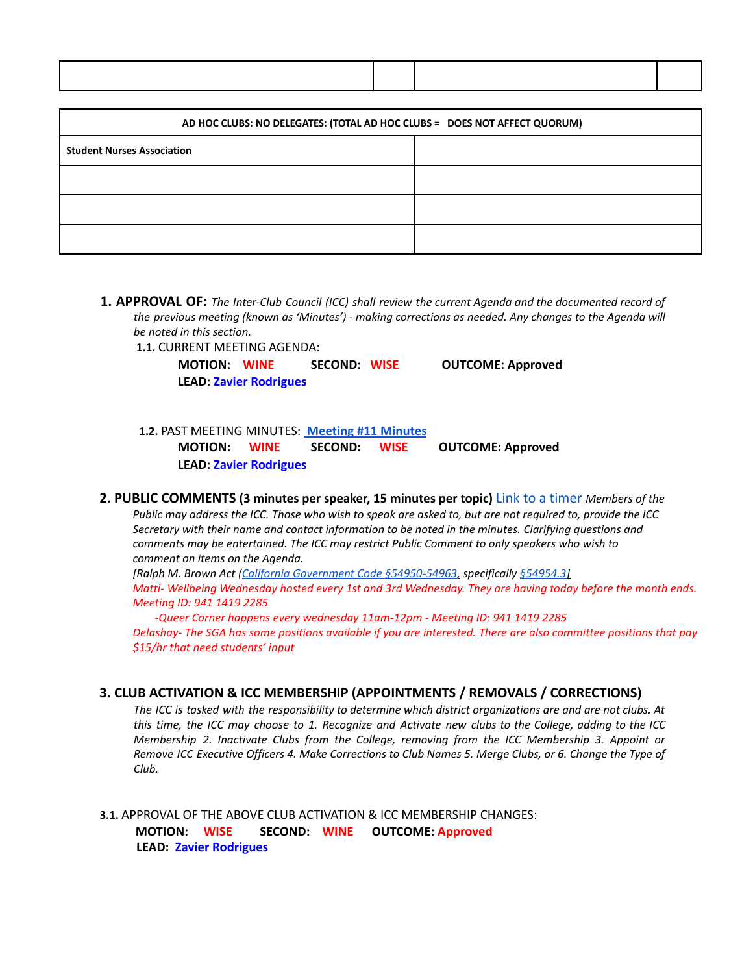| AD HOC CLUBS: NO DELEGATES: (TOTAL AD HOC CLUBS = DOES NOT AFFECT QUORUM) |  |  |
|---------------------------------------------------------------------------|--|--|
| <b>Student Nurses Association</b>                                         |  |  |
|                                                                           |  |  |
|                                                                           |  |  |
|                                                                           |  |  |

- **1. APPROVAL OF:** *The Inter-Club Council (ICC) shall review the current Agenda and the documented record of the previous meeting (known as 'Minutes') - making corrections as needed. Any changes to the Agenda will be noted in this section.*
	- **1.1.** CURRENT MEETING AGENDA:

**MOTION: WINE SECOND: WISE OUTCOME: Approved LEAD: Zavier Rodrigues**

**1.2.** PAST MEETING MINUTES: **[Meeting](https://docs.google.com/document/d/1_Y5jZ2g3DnHZBmv65yq_qef5suEYe7kvTe8ILFndLnw/edit?usp=sharing) #11 Minutes MOTION: WINE SECOND: WISE OUTCOME: Approved LEAD: Zavier Rodrigues**

**2. PUBLIC COMMENTS (3 minutes per speaker, 15 minutes per topic)** Link to a timer *Members of the* Public may address the ICC. Those who wish to speak are asked to, but are not required to, provide the ICC *Secretary with their name and contact information to be noted in the minutes. Clarifying questions and comments may be entertained. The ICC may restrict Public Comment to only speakers who wish to comment on items on the Agenda.*

*[Ralph M. Brown Act (California Government Code §54950-54963, specifically §54954.3]*

Matti-Wellbeing Wednesday hosted every 1st and 3rd Wednesday. They are having today before the month ends. *Meeting ID: 941 1419 2285*

*-Queer Corner happens every wednesday 11am-12pm - Meeting ID: 941 1419 2285*

Delashay- The SGA has some positions available if you are interested. There are also committee positions that pay *\$15/hr that need students' input*

# **3. CLUB ACTIVATION & ICC MEMBERSHIP (APPOINTMENTS / REMOVALS / CORRECTIONS)**

The ICC is tasked with the responsibility to determine which district organizations are and are not clubs. At this time, the ICC may choose to 1. Recognize and Activate new clubs to the College, adding to the ICC *Membership 2. Inactivate Clubs from the College, removing from the ICC Membership 3. Appoint or* Remove ICC Executive Officers 4. Make Corrections to Club Names 5. Merge Clubs, or 6. Change the Type of *Club.*

**3.1.** APPROVAL OF THE ABOVE CLUB ACTIVATION & ICC MEMBERSHIP CHANGES: **MOTION: WISE SECOND: WINE OUTCOME: Approved LEAD: Zavier Rodrigues**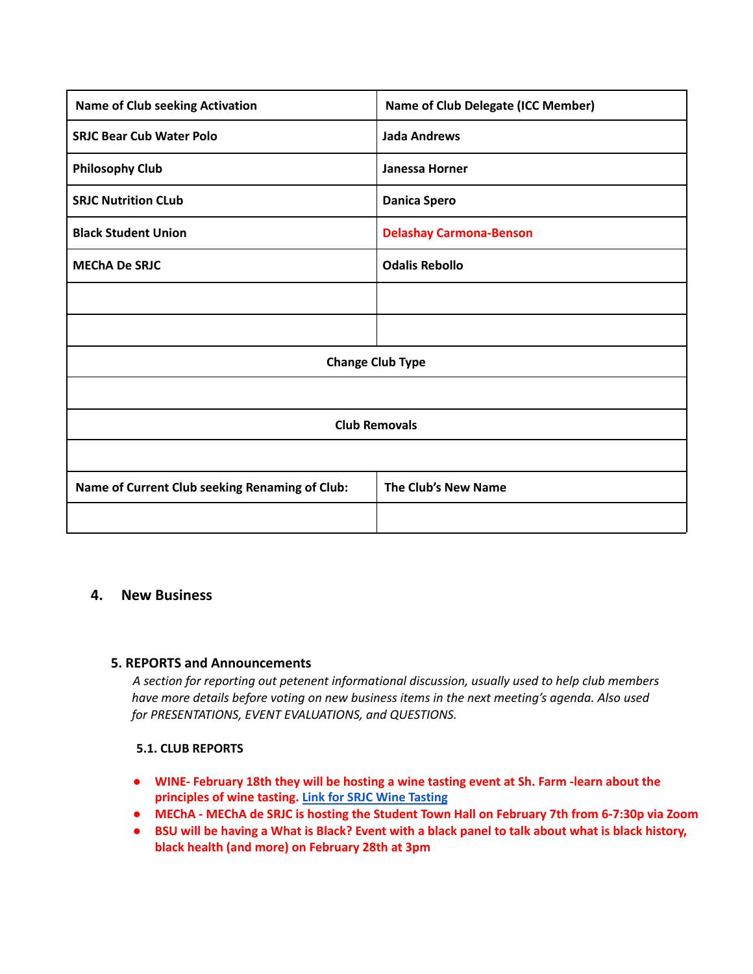| <b>Name of Club seeking Activation</b>         | <b>Name of Club Delegate (ICC Member)</b> |  |
|------------------------------------------------|-------------------------------------------|--|
| <b>SRJC Bear Cub Water Polo</b>                | <b>Jada Andrews</b>                       |  |
| <b>Philosophy Club</b>                         | <b>Janessa Horner</b>                     |  |
| <b>SRJC Nutrition CLub</b>                     | <b>Danica Spero</b>                       |  |
| <b>Black Student Union</b>                     | <b>Delashay Carmona-Benson</b>            |  |
| <b>MECHA De SRJC</b>                           | <b>Odalis Rebollo</b>                     |  |
|                                                |                                           |  |
|                                                |                                           |  |
| <b>Change Club Type</b>                        |                                           |  |
|                                                |                                           |  |
| <b>Club Removals</b>                           |                                           |  |
|                                                |                                           |  |
| Name of Current Club seeking Renaming of Club: | The Club's New Name                       |  |
|                                                |                                           |  |

# **4. New Business**

# **5. REPORTS and Announcements**

*A section for reporting out petenent informational discussion, usually used to help club members have more details before voting on new business items in the next meeting's agenda. Also used for PRESENTATIONS, EVENT EVALUATIONS, and QUESTIONS.*

# **5.1. CLUB REPORTS**

- **● WINE- February 18th they will be hosting a wine tasting event at Sh. Farm -learn about the principles of wine tasting. Link for SRJC Wine [Tasting](https://docs.google.com/forms/d/e/1FAIpQLSeAH-A_3gAJ67mK-vJR4QQ7brfgCS-gRmPs7zVt32wGMj2_eg/viewform?usp=sf_link)**
- MEChA MEChA de SRJC is hosting the Student Town Hall on February 7th from 6-7:30p via Zoom
- BSU will be having a What is Black? Event with a black panel to talk about what is black history, **black health (and more) on February 28th at 3pm**